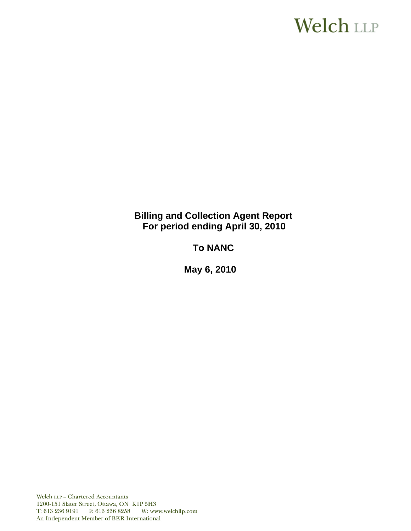# **Welch LLP**

# **Billing and Collection Agent Report For period ending April 30, 2010**

# **To NANC**

 **May 6, 2010**

Welch LLP - Chartered Accountants 1200-151 Slater Street, Ottawa, ON K1P 5H3 T: 613 236 9191 F: 613 236 8258 W: www.welchllp.com An Independent Member of BKR International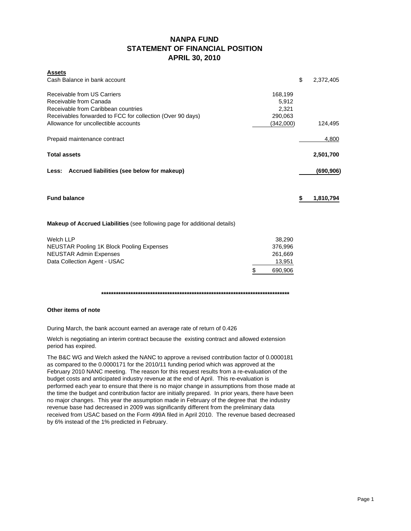# **NANPA FUND STATEMENT OF FINANCIAL POSITION APRIL 30, 2010**

| <b>Assets</b>                                                                    |           |                 |
|----------------------------------------------------------------------------------|-----------|-----------------|
| Cash Balance in bank account                                                     |           | \$<br>2,372,405 |
| Receivable from US Carriers                                                      | 168,199   |                 |
| Receivable from Canada                                                           | 5,912     |                 |
| Receivable from Caribbean countries                                              | 2,321     |                 |
| Receivables forwarded to FCC for collection (Over 90 days)                       | 290,063   |                 |
| Allowance for uncollectible accounts                                             | (342,000) | 124,495         |
| Prepaid maintenance contract                                                     |           | 4,800           |
| <b>Total assets</b>                                                              |           | 2,501,700       |
| Less: Accrued liabilities (see below for makeup)                                 |           | (690, 906)      |
| <b>Fund balance</b>                                                              |           | \$<br>1,810,794 |
| <b>Makeup of Accrued Liabilities</b> (see following page for additional details) |           |                 |
| <b>Welch LLP</b>                                                                 | 38,290    |                 |
| <b>NEUSTAR Pooling 1K Block Pooling Expenses</b>                                 | 376,996   |                 |
| <b>NEUSTAR Admin Expenses</b>                                                    | 261,669   |                 |

**\*\*\*\*\*\*\*\*\*\*\*\*\*\*\*\*\*\*\*\*\*\*\*\*\*\*\*\*\*\*\*\*\*\*\*\*\*\*\*\*\*\*\*\*\*\*\*\*\*\*\*\*\*\*\*\*\*\*\*\*\*\*\*\*\*\*\*\*\*\*\*\*\*\*\*\*\***

\$ 690,906

### **Other items of note**

During March, the bank account earned an average rate of return of 0.426

Welch is negotiating an interim contract because the existing contract and allowed extension period has expired.

Data Collection Agent - USAC 13,951

The B&C WG and Welch asked the NANC to approve a revised contribution factor of 0.0000181 as compared to the 0.0000171 for the 2010/11 funding period which was approved at the February 2010 NANC meeting. The reason for this request results from a re-evaluation of the budget costs and anticipated industry revenue at the end of April. This re-evaluation is performed each year to ensure that there is no major change in assumptions from those made at the time the budget and contribution factor are initially prepared. In prior years, there have been no major changes. This year the assumption made in February of the degree that the industry revenue base had decreased in 2009 was significantly different from the preliminary data received from USAC based on the Form 499A filed in April 2010. The revenue based decreased by 6% instead of the 1% predicted in February.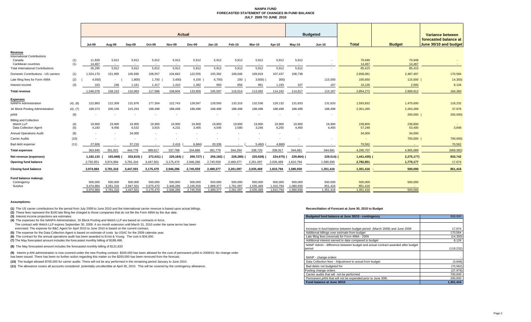#### **NANPA FUND FORECASTED STATEMENT OF CHANGES IN FUND BALANCEJULY 2009 TO JUNE 2010**

|                                                |            | <b>Actual</b>    |                 |                 |                          |                          |                 |                          |                 |           |                          |                 | <b>Budgeted</b> |                  |                          | Variance between                               |  |
|------------------------------------------------|------------|------------------|-----------------|-----------------|--------------------------|--------------------------|-----------------|--------------------------|-----------------|-----------|--------------------------|-----------------|-----------------|------------------|--------------------------|------------------------------------------------|--|
|                                                |            | <b>Jul-09</b>    | Aug-09          | Sep-09          | Oct-09                   | <b>Nov-09</b>            | Dec-09          | <b>Jan-10</b>            | Feb-10          | Mar-10    | Apr-10                   | Mav-10          | <b>Jun-10</b>   | <b>Total</b>     | <b>Budget</b>            | forecasted balance at<br>June 30/10 and budget |  |
| Revenue                                        |            |                  |                 |                 |                          |                          |                 |                          |                 |           |                          |                 |                 |                  |                          |                                                |  |
| <b>International Contributions</b>             |            |                  |                 |                 |                          |                          |                 |                          |                 |           |                          |                 |                 |                  |                          |                                                |  |
| Canada<br>Caribbean countries                  | (1)<br>(1) | 11,828<br>14.467 | 5,912<br>$\sim$ | 5,912<br>$\sim$ | 5,912<br>$\sim$          | 5,912<br>$\sim$          | 5,912<br>$\sim$ | 5,912<br>$\sim$          | 5,912<br>$\sim$ | 5,912     | 5,912<br>$\sim$          | 5,912<br>$\sim$ |                 | 70,948<br>14,467 | 70,948<br>14,467         |                                                |  |
| <b>Total International Contributions</b>       |            | 26,295           | 5,912           | 5,912           | 5,912                    | 5,912                    | 5,912           | 5,912                    | 5,912           | 5,912     | 5,912                    | 5,912           |                 | 85,415           | 85,415                   |                                                |  |
| Domestic Contributions - US carriers           | (1)        | 1,524,170        | 151,995         | 105,690         | 108,557                  | 104,682                  | 122,555         | 105,392                  | 109,046         | 109,819   | 107,437                  | 108,738         |                 | 2,658,081        | 2,487,497                | 170,584                                        |  |
| Late filing fees for Form 499A                 | (2)        | 4,550            |                 | 1,800           | 1,700                    | 3,400                    | 4,100           | 6,700                    | 200             | 3,600     | 300)                     |                 | 115,000         | 100,650          | 115,000                  | 14,350                                         |  |
| Interest income                                | (3)        | 163              | 246             | 1,161           | 1,417                    | 1,410                    | 1,392           | 993                      | 856             | 961       | 1,193                    | 167             | 167             | 10,126           | 2,000                    | 8,126                                          |  |
| <b>Total revenue</b>                           |            | 1.546.078        | 158,153         | 110,963         | 117,586                  | 108.604                  | 133,959         | 105,597                  | 116,014         | 113.092   | 114,242                  | 114,817         | 115,167         | 2,854,272        | 2,689,912                | 164,360                                        |  |
|                                                |            |                  |                 |                 |                          |                          |                 |                          |                 |           |                          |                 |                 |                  |                          |                                                |  |
| <b>Expenses</b><br><b>NANPA Administration</b> | (4), (8)   | 122.883          | 122.309         | 131,876         | 177,304                  | 122.743                  | 129,567         | 128,500                  | 133.316         | 132,536   | 129,132                  | 131,833         | 131.833         | 1,593,832        | 1,475,600                | 118,232                                        |  |
| 1K Block Pooling Administration                | (4), (7)   | 189,373          | 200,156         | 215,254         | 188,498                  | 188,498                  | 188,498         | 188,498                  | 188,498         | 188,498   | 188,498                  | 188,498         | 188,498         | 2,301,265        | 2,263,289                | 37,976                                         |  |
| pANI                                           | (9)        |                  |                 |                 | $\overline{\phantom{a}}$ | $\overline{\phantom{a}}$ |                 | $\overline{\phantom{a}}$ |                 |           | $\overline{\phantom{a}}$ | $\sim$          |                 |                  | 200,000                  | 200,000)                                       |  |
| <b>Billing and Collection</b>                  |            |                  |                 |                 |                          |                          |                 |                          |                 |           |                          |                 |                 |                  |                          |                                                |  |
| Welch LLP                                      | (4)        | 19.900           | 19,900          | 19,900          | 19,900                   | 19.900                   | 19,900          | 19,900                   | 19,900          | 19,900    | 19,900                   | 19,900          | 19,900          | 238,800          | 238,800                  |                                                |  |
| Data Collection Agent                          | (5)        | 4,183            | 9,456           | 6,532           | 3,915                    | 4,231                    | 3,405           | 4,545                    | 2,580           | 3,246     | 6,255                    | 4,450           | 4,450           | 57,248           | 53,400                   | 3,848                                          |  |
| <b>Annual Operations Audit</b>                 | (6)        | $\sim$           | $\sim$          | 34,000          | $\sim$                   |                          |                 | $\sim$                   |                 |           | $\overline{\phantom{a}}$ |                 |                 | 34,000           | 34,000                   |                                                |  |
| <b>Carrier Audits</b>                          | (10)       |                  |                 |                 |                          |                          |                 |                          |                 |           |                          |                 |                 |                  | 700,000                  | 700,000)                                       |  |
| Bad debt expense                               | (11)       | 27.606           |                 | 37,216          |                          | 2.416                    | 6.684           | 20.336                   |                 | 5,460     | 4.868)                   |                 |                 | 70.562           |                          | 70,562                                         |  |
| <b>Total expenses</b>                          |            | 363.945          | 351,821         | 444,778         | 389,617                  | 337,788                  | 334,686         | 361,779                  | 344,294         | 338,720   | 338,917                  | 344,681         | 344.681         | 4,295,707        | 4.965.089                | (669,382                                       |  |
| Net revenue (expenses)                         |            | 1,182,133        | 193,668)        | 333,815) (      | 272,031)                 | 229,184)                 | 200,727)        | 256,182)                 | 228,280)        | 225,628)  | 224,675) (               | 229,864) (      | 229,514)        | $1,441,435$ )    | 2,275,177)               | 833,742                                        |  |
| Opening fund balance                           |            | 2,792,851        | 3,974,984       | 3,781,316       | 3,447,501                | 3,175,470                | 2,946,286       | 2,745,559                | 2,489,377       | 2,261,097 | 2,035,469                | 1,810,794       | 1,580,930       | 2,792,851        | 1,775,177                | 17,674                                         |  |
| <b>Closing fund balance</b>                    |            | 3,974,984        | 3,781,316       | 3,447,501       | 3,175,470                | 2,946,286                | 2,745,559       | 2,489,377                | 2,261,097       | 2,035,469 | 1,810,794                | 1,580,930       | 1,351,416       | $1,351,416$ -    | 500,000                  | 851,416                                        |  |
| Fund balance makeup:                           |            |                  |                 |                 |                          |                          |                 |                          |                 |           |                          |                 |                 |                  |                          |                                                |  |
| Contingency                                    |            | 500.000          | 500,000         | 500,000         | 500.000                  | 500,000                  | 500,000         | 500,000                  | 500,000         | 500,000   | 500,000                  | 500,000         | 500,000         | 500,000          | 500,000                  |                                                |  |
| Surplus                                        |            | 3,474,984        | 3,281,316       | 2,947,501       | 2,675,470                | 2,446,286                | 2,245,559       | 1,989,377                | 1,761,097       | 1,535,469 | 1,310,794                | 1,080,930       | 851,416         | 851,416          | $\overline{\phantom{a}}$ |                                                |  |
|                                                |            | 3.974.984        | 3.781.316       | 3,447,501       | 3.175.470                | 2.946.286                | 2,745,559       | 2.489.377                | 2.261.097       | 2.035.469 | 1.810.794                | 1.580.930       | 1,351,416       | 1,351,416        | 500,000                  |                                                |  |

#### **Assumptions:**

**(1)** The US carrier contributions for the period from July 2009 to June 2010 and the International carrier revenue is based upon actual billings.

**(2)** These fees represent the \$100 late filing fee charged to those companies that do not file the Form 499A by the due date.

**(3)** Interest income projections are estimates

**(4)** The expenses for the NANPA Administration, 1K Block Pooling and Welch LLP are based on contracts in force.

The contract with Welch LLP expires September 30, 2009. A six month extension until March 31, 2010 under the same terms has been

exercised. The expense for B&C Agent for April 2010 to June 2010 is based on the current contract.

**(5)** The expense for the Data Collection Agent is based on estimate of costs by USAC for the 2009 calendar year.

**(6)** The contract for the annual operations audit has been awarded to Ernst & Young. The cost is \$34,000.

**(7)** The May forecasted amount includes the forecasted monthly billing of \$188,498.

**(8)** The May forecasted amount includes the forecasted monthly billing of \$131,833

**(9)** Interim p-ANI administration is now covered under the new Pooling contract. \$200,000 has been allowed for the cost of permanent pANI in 2009/10. No change order

has been issued. There has been no further action regarding this matter so the \$200,000 has been removed from the forecast.

**(10)** The budget allowed \$700,000 for carrier audits. There will not be any performed in the remaining period January to June 2010.

**(11)** The allowance covers all accounts considered potentially uncollectible at April 30, 2010. This will be covered by the contingency allowance.

#### **Reconciliation of Forecast at June 30, 2010 to Budget**

| Budgeted fund balance at June 30/10 - contingency                               | 500,000    |
|---------------------------------------------------------------------------------|------------|
|                                                                                 |            |
|                                                                                 |            |
| Increase in fund balance between budget period (March 2009) and June 2009       | 17,674     |
| Additional billings over estimate from budget                                   | 170,584    |
| Late filing fees (reversal) for Form 499A - 2009                                | (14, 350)  |
| Additional interest earned to date compared to budget                           | 8.126      |
| NANP Admin - difference between budget and actual contract awarded after budget |            |
| period                                                                          | (118, 232) |
|                                                                                 |            |
| NANP - change orders                                                            |            |
| Data Collection fees - Adjustment to actual from budget                         | (3,848)    |
| Bad debts not budgeted for                                                      | (70, 562)  |
| Pooling change orders                                                           | (37, 976)  |
| Carrier audits that will not be performed                                       | 700,000    |
| Permanent pANi that will not be expended prior to June 30th.                    | 200.000    |
| Fund balance at June 30/10                                                      | 1.351.416  |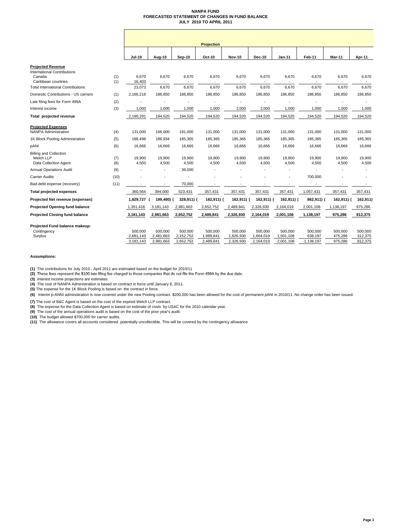#### **NANPA FUND FORECASTED STATEMENT OF CHANGES IN FUND BALANCE JULY 2010 TO APRIL 2011**

|                                                                                                                                             |              |                                   |                                   |                                   | <b>Projection</b>                 |                                   |                                   |                                   |                                 |                               |                               |
|---------------------------------------------------------------------------------------------------------------------------------------------|--------------|-----------------------------------|-----------------------------------|-----------------------------------|-----------------------------------|-----------------------------------|-----------------------------------|-----------------------------------|---------------------------------|-------------------------------|-------------------------------|
|                                                                                                                                             |              | <b>Jul-10</b>                     | Aug-10                            | <b>Sep-10</b>                     | Oct-10                            | <b>Nov-10</b>                     | <b>Dec-10</b>                     | $Jan-11$                          | Feb-11                          | Mar-11                        | Apr-11                        |
| <b>Projected Revenue</b><br><b>International Contributions</b><br>Canada<br>Caribbean countries<br><b>Total International Contributions</b> | (1)<br>(1)   | 6,670<br>16,403<br>23,073         | 6,670<br>$\blacksquare$<br>6,670  | 6,670<br>6,670                    | 6,670<br>6,670                    | 6,670<br>6,670                    | 6,670<br>÷,<br>6,670              | 6,670<br>6,670                    | 6,670<br>6,670                  | 6,670<br>6,670                | 6,670<br>6,670                |
| Domestic Contributions - US carriers                                                                                                        | (1)          | 2,166,218                         | 186,850                           | 186,850                           | 186,850                           | 186,850                           | 186,850                           | 186,850                           | 186,850                         | 186,850                       | 186,850                       |
| Late filing fees for Form 499A                                                                                                              | (2)          |                                   |                                   |                                   |                                   |                                   |                                   |                                   |                                 |                               | ٠                             |
| Interest income                                                                                                                             | (3)          | 1,000                             | 1,000                             | 1,000                             | 1,000                             | 1,000                             | 1,000                             | 1,000                             | 1,000                           | 1,000                         | 1,000                         |
| Total projected revenue                                                                                                                     |              | 2,190,291                         | 194,520                           | 194,520                           | 194,520                           | 194,520                           | 194,520                           | 194,520                           | 194,520                         | 194,520                       | 194,520                       |
| <b>Projected Expenses</b><br><b>NANPA Administration</b>                                                                                    | (4)          | 131,000                           | 166,000                           | 191,000                           | 131,000                           | 131,000                           | 131,000                           | 131,000                           | 131,000                         | 131,000                       | 131,000                       |
| 1K Block Pooling Administration                                                                                                             | (5)          | 188,498                           | 186,934                           | 185,365                           | 185,365                           | 185,365                           | 185,365                           | 185,365                           | 185,365                         | 185,365                       | 185,365                       |
| pANI                                                                                                                                        | (6)          | 16,666                            | 16,666                            | 16,666                            | 16,666                            | 16,666                            | 16,666                            | 16,666                            | 16,666                          | 16,666                        | 16,666                        |
| <b>Billing and Collection</b><br>Welch LLP<br>Data Collection Agent                                                                         | (7)<br>(8)   | 19,900<br>4,500                   | 19,900<br>4,500                   | 19,900<br>4,500                   | 19,900<br>4,500                   | 19,900<br>4,500                   | 19,900<br>4,500                   | 19,900<br>4,500                   | 19,900<br>4,500                 | 19,900<br>4,500               | 19,900<br>4,500               |
| <b>Annual Operations Audit</b>                                                                                                              | (9)          |                                   | $\blacksquare$                    | 36,000                            |                                   |                                   |                                   |                                   |                                 |                               | ٠                             |
| <b>Carrier Audits</b><br>Bad debt expense (recovery)                                                                                        | (10)<br>(11) | $\overline{\phantom{a}}$          |                                   | 70,000                            | $\overline{\phantom{a}}$          |                                   |                                   |                                   | 700,000                         |                               |                               |
| <b>Total projected expenses</b>                                                                                                             |              | 360,564                           | 394,000                           | 523,431                           | 357,431                           | 357,431                           | 357,431                           | 357,431                           | ٠<br>1,057,431                  | 357,431                       | $\sim$<br>357,431             |
| Projected Net revenue (expenses)                                                                                                            |              | 1,829,727                         | 199.480) (                        | 328,911) (                        | 162,911) (                        | 162,911) (                        | 162,911) (                        | 162,911) (                        | 862,911) (                      | 162,911) (                    | 162,911)                      |
| <b>Projected Opening fund balance</b>                                                                                                       |              | 1,351,416                         | 3,181,143                         | 2,981,663                         | 2,652,752                         | 2,489,841                         | 2,326,930                         | 2,164,019                         | 2,001,108                       | 1,138,197                     | 975,286                       |
| <b>Projected Closing fund balance</b>                                                                                                       |              | 3,181,143                         | 2,981,663                         | 2,652,752                         | 2,489,841                         | 2,326,930                         | 2,164,019                         | 2,001,108                         | 1,138,197                       | 975,286                       | 812,375                       |
| Projected Fund balance makeup:<br>Contingency<br>Surplus                                                                                    |              | 500,000<br>2,681,143<br>3,181,143 | 500,000<br>2,481,663<br>2,981,663 | 500,000<br>2,152,752<br>2,652,752 | 500,000<br>1,989,841<br>2,489,841 | 500,000<br>1,826,930<br>2,326,930 | 500,000<br>1,664,019<br>2,164,019 | 500,000<br>1,501,108<br>2,001,108 | 500,000<br>638,197<br>1,138,197 | 500,000<br>475,286<br>975,286 | 500,000<br>312,375<br>812,375 |

#### **Assumptions:**

**(1)** The contributions for July 2010 - April 2011 are estimated based on the budget for 2010/11

(2) These fees represent the \$100 late filing fee charged to those companies that do not file the Form 499A by the due date.

**(3)** Interest income projections are estimates

**(4)** The cost of NANPA Administration is based on contract in force until January 8, 2011. **(5)** The expense for the 1K Block Pooling is based on the contract in force.

**(6)** Interim p-ANNI administration is now covered under the new Pooling contract. \$200,000 has been allowed for the cost of permanent pANI in 2010/11. No change order has been issued.

**(7)** The cost of B&C Agent is based on the cost of the expired Welch LLP contract.

**(8)** The expense for the Data Collection Agent is based on estimate of costs by USAC for the 2010 calendar year.<br>**(9)** The cost of the annual operations audit is based on the cost of the prior year's audit.

**(10)** The budget allowed \$700,000 for carrier audits. **(11)** The allowance covers all accounts considered potentially uncollectible. This will be covered by the contingency allowance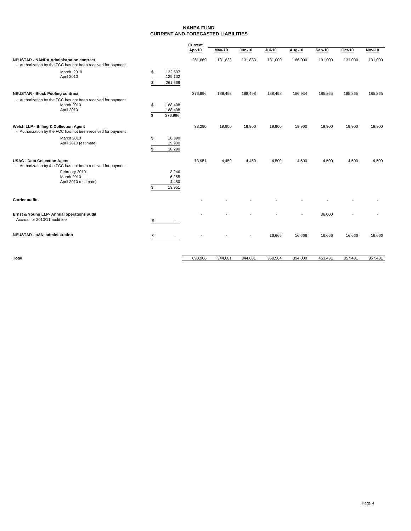#### **NANPA FUND CURRENT AND FORECASTED LIABILITIES**

|                                                                                                                      |          |                               | Current |         |               |               |         |               |         |         |
|----------------------------------------------------------------------------------------------------------------------|----------|-------------------------------|---------|---------|---------------|---------------|---------|---------------|---------|---------|
|                                                                                                                      |          |                               | Apr-10  | May-10  | <b>Jun-10</b> | <b>Jul-10</b> | Aug-10  | <b>Sep-10</b> | Oct-10  | Nov-10  |
| <b>NEUSTAR - NANPA Administration contract</b><br>- Authorization by the FCC has not been received for payment       |          |                               | 261,669 | 131,833 | 131,833       | 131,000       | 166,000 | 191,000       | 131,000 | 131,000 |
| March 2010<br>April 2010                                                                                             | \$       | 132,537<br>129,132            |         |         |               |               |         |               |         |         |
|                                                                                                                      | \$       | 261,669                       |         |         |               |               |         |               |         |         |
| <b>NEUSTAR - Block Pooling contract</b><br>- Authorization by the FCC has not been received for payment              |          |                               | 376,996 | 188,498 | 188,498       | 188,498       | 186,934 | 185,365       | 185,365 | 185,365 |
| March 2010<br>April 2010                                                                                             | \$<br>٩  | 188,498<br>188,498<br>376,996 |         |         |               |               |         |               |         |         |
| Welch LLP - Billing & Collection Agent<br>- Authorization by the FCC has not been received for payment               |          |                               | 38,290  | 19,900  | 19,900        | 19,900        | 19,900  | 19,900        | 19,900  | 19,900  |
| March 2010<br>April 2010 (estimate)                                                                                  | \$<br>\$ | 18,390<br>19,900<br>38,290    |         |         |               |               |         |               |         |         |
| <b>USAC - Data Collection Agent</b><br>- Authorization by the FCC has not been received for payment<br>February 2010 |          | 3,246                         | 13,951  | 4,450   | 4,450         | 4,500         | 4,500   | 4,500         | 4,500   | 4,500   |
| March 2010<br>April 2010 (estimate)                                                                                  | S        | 6,255<br>4,450<br>13,951      |         |         |               |               |         |               |         |         |
| <b>Carrier audits</b>                                                                                                |          |                               |         |         |               |               |         |               |         |         |
| Ernst & Young LLP- Annual operations audit<br>Accrual for 2010/11 audit fee                                          | \$       |                               |         |         |               |               |         | 36,000        |         |         |
| <b>NEUSTAR - pANI administration</b>                                                                                 | \$       |                               |         |         |               | 16,666        | 16,666  | 16,666        | 16,666  | 16,666  |
| Total                                                                                                                |          |                               | 690,906 | 344,681 | 344,681       | 360,564       | 394,000 | 453,431       | 357,431 | 357,431 |
|                                                                                                                      |          |                               |         |         |               |               |         |               |         |         |